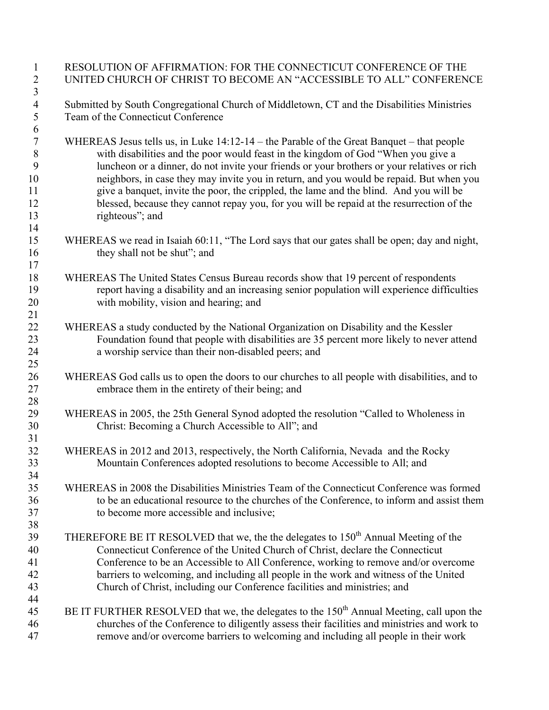| $\mathbf{1}$     | RESOLUTION OF AFFIRMATION: FOR THE CONNECTICUT CONFERENCE OF THE                                                                                                                  |
|------------------|-----------------------------------------------------------------------------------------------------------------------------------------------------------------------------------|
| $\overline{2}$   | UNITED CHURCH OF CHRIST TO BECOME AN "ACCESSIBLE TO ALL" CONFERENCE                                                                                                               |
| $\sqrt{3}$       |                                                                                                                                                                                   |
| $\overline{4}$   | Submitted by South Congregational Church of Middletown, CT and the Disabilities Ministries                                                                                        |
| 5                | Team of the Connecticut Conference                                                                                                                                                |
| 6                |                                                                                                                                                                                   |
| $\boldsymbol{7}$ | WHEREAS Jesus tells us, in Luke 14:12-14 – the Parable of the Great Banquet – that people                                                                                         |
| 8                | with disabilities and the poor would feast in the kingdom of God "When you give a                                                                                                 |
| 9                | luncheon or a dinner, do not invite your friends or your brothers or your relatives or rich                                                                                       |
| 10               | neighbors, in case they may invite you in return, and you would be repaid. But when you                                                                                           |
| 11               | give a banquet, invite the poor, the crippled, the lame and the blind. And you will be                                                                                            |
| 12               | blessed, because they cannot repay you, for you will be repaid at the resurrection of the                                                                                         |
| 13               | righteous"; and                                                                                                                                                                   |
| 14               |                                                                                                                                                                                   |
| 15               | WHEREAS we read in Isaiah 60:11, "The Lord says that our gates shall be open; day and night,                                                                                      |
| 16               | they shall not be shut"; and                                                                                                                                                      |
| 17               |                                                                                                                                                                                   |
| 18               | WHEREAS The United States Census Bureau records show that 19 percent of respondents                                                                                               |
| 19               | report having a disability and an increasing senior population will experience difficulties                                                                                       |
| 20               | with mobility, vision and hearing; and                                                                                                                                            |
| 21               |                                                                                                                                                                                   |
| 22<br>23         | WHEREAS a study conducted by the National Organization on Disability and the Kessler<br>Foundation found that people with disabilities are 35 percent more likely to never attend |
| 24               | a worship service than their non-disabled peers; and                                                                                                                              |
| 25               |                                                                                                                                                                                   |
| 26               | WHEREAS God calls us to open the doors to our churches to all people with disabilities, and to                                                                                    |
| 27               | embrace them in the entirety of their being; and                                                                                                                                  |
| 28               |                                                                                                                                                                                   |
| 29               | WHEREAS in 2005, the 25th General Synod adopted the resolution "Called to Wholeness in                                                                                            |
| 30               | Christ: Becoming a Church Accessible to All"; and                                                                                                                                 |
| 31               |                                                                                                                                                                                   |
| 32               | WHEREAS in 2012 and 2013, respectively, the North California, Nevada and the Rocky                                                                                                |
| 33               | Mountain Conferences adopted resolutions to become Accessible to All; and                                                                                                         |
| 34               |                                                                                                                                                                                   |
| 35               | WHEREAS in 2008 the Disabilities Ministries Team of the Connecticut Conference was formed                                                                                         |
| 36               | to be an educational resource to the churches of the Conference, to inform and assist them                                                                                        |
| 37               | to become more accessible and inclusive;                                                                                                                                          |
| 38               |                                                                                                                                                                                   |
| 39               | THEREFORE BE IT RESOLVED that we, the the delegates to 150 <sup>th</sup> Annual Meeting of the                                                                                    |
| 40               | Connecticut Conference of the United Church of Christ, declare the Connecticut                                                                                                    |
| 41               | Conference to be an Accessible to All Conference, working to remove and/or overcome                                                                                               |
| 42               | barriers to welcoming, and including all people in the work and witness of the United                                                                                             |
| 43               | Church of Christ, including our Conference facilities and ministries; and                                                                                                         |
| 44               |                                                                                                                                                                                   |
| 45               | BE IT FURTHER RESOLVED that we, the delegates to the 150 <sup>th</sup> Annual Meeting, call upon the                                                                              |
| 46               | churches of the Conference to diligently assess their facilities and ministries and work to                                                                                       |
| 47               | remove and/or overcome barriers to welcoming and including all people in their work                                                                                               |